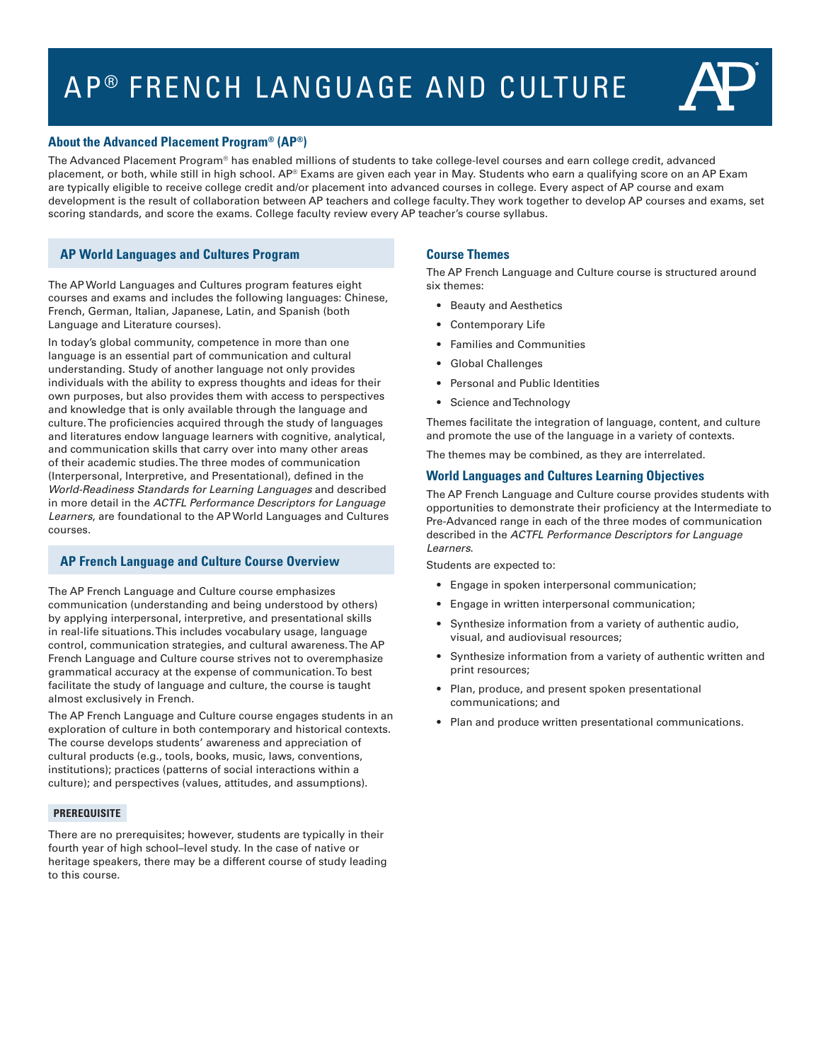# AP<sup>®</sup> FRENCH LANGUAGE AND CULTURE



## **About the Advanced Placement Program® (AP®)**

The Advanced Placement Program® has enabled millions of students to take college-level courses and earn college credit, advanced placement, or both, while still in high school. AP® Exams are given each year in May. Students who earn a qualifying score on an AP Exam are typically eligible to receive college credit and/or placement into advanced courses in college. Every aspect of AP course and exam development is the result of collaboration between AP teachers and college faculty. They work together to develop AP courses and exams, set scoring standards, and score the exams. College faculty review every AP teacher's course syllabus.

# **AP World Languages and Cultures Program**

The AP World Languages and Cultures program features eight courses and exams and includes the following languages: Chinese, French, German, Italian, Japanese, Latin, and Spanish (both Language and Literature courses).

In today's global community, competence in more than one language is an essential part of communication and cultural understanding. Study of another language not only provides individuals with the ability to express thoughts and ideas for their own purposes, but also provides them with access to perspectives and knowledge that is only available through the language and culture. The proficiencies acquired through the study of languages and literatures endow language learners with cognitive, analytical, and communication skills that carry over into many other areas of their academic studies. The three modes of communication (Interpersonal, Interpretive, and Presentational), defined in the *World-Readiness Standards for Learning Languages* and described in more detail in the *ACTFL Performance Descriptors for Language Learners*, are foundational to the AP World Languages and Cultures courses.

# **AP French Language and Culture Course Overview**

The AP French Language and Culture course emphasizes communication (understanding and being understood by others) by applying interpersonal, interpretive, and presentational skills in real-life situations. This includes vocabulary usage, language control, communication strategies, and cultural awareness. The AP French Language and Culture course strives not to overemphasize grammatical accuracy at the expense of communication. To best facilitate the study of language and culture, the course is taught almost exclusively in French.

The AP French Language and Culture course engages students in an exploration of culture in both contemporary and historical contexts. The course develops students' awareness and appreciation of cultural products (e.g., tools, books, music, laws, conventions, institutions); practices (patterns of social interactions within a culture); and perspectives (values, attitudes, and assumptions).

#### **PREREQUISITE**

There are no prerequisites; however, students are typically in their fourth year of high school–level study. In the case of native or heritage speakers, there may be a different course of study leading to this course.

## **Course Themes**

The AP French Language and Culture course is structured around six themes:

- Beauty and Aesthetics
- Contemporary Life
- Families and Communities
- Global Challenges
- Personal and Public Identities
- Science and Technology

Themes facilitate the integration of language, content, and culture and promote the use of the language in a variety of contexts.

The themes may be combined, as they are interrelated.

## **World Languages and Cultures Learning Objectives**

The AP French Language and Culture course provides students with opportunities to demonstrate their proficiency at the Intermediate to Pre-Advanced range in each of the three modes of communication described in the *ACTFL Performance Descriptors for Language Learners*.

Students are expected to:

- Engage in spoken interpersonal communication;
- Engage in written interpersonal communication;
- Synthesize information from a variety of authentic audio, visual, and audiovisual resources;
- Synthesize information from a variety of authentic written and print resources;
- Plan, produce, and present spoken presentational communications; and
- Plan and produce written presentational communications.